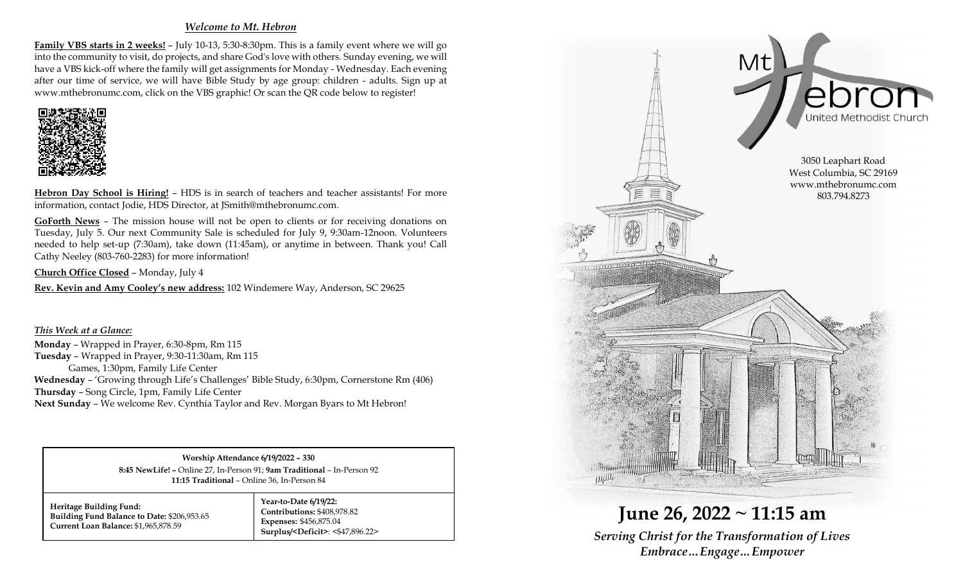### *Welcome to Mt. Hebron*

**Family VBS starts in 2 weeks!** – July 10-13, 5:30-8:30pm. This is a family event where we will go into the community to visit, do projects, and share God's love with others. Sunday evening, we will have a VBS kick-off where the family will get assignments for Monday - Wednesday. Each evening after our time of service, we will have Bible Study by age group: children - adults. Sign up at www.mthebronumc.com, click on the VBS graphic! Or scan the QR code below to register!



**Hebron Day School is Hiring!** – HDS is in search of teachers and teacher assistants! For more information, contact Jodie, HDS Director, at JSmith@mthebronumc.com.

**GoForth News** – The mission house will not be open to clients or for receiving donations on Tuesday, July 5. Our next Community Sale is scheduled for July 9, 9:30am-12noon. Volunteers needed to help set-up (7:30am), take down (11:45am), or anytime in between. Thank you! Call Cathy Neeley (803-760-2283) for more information!

**Church Office Closed** – Monday, July 4

**Rev. Kevin and Amy Cooley's new address:** 102 Windemere Way, Anderson, SC 29625

*This Week at a Glance:* **Monday** – Wrapped in Prayer, 6:30-8pm, Rm 115 **Tuesday** – Wrapped in Prayer, 9:30-11:30am, Rm 115 Games, 1:30pm, Family Life Center **Wednesday** – 'Growing through Life's Challenges' Bible Study, 6:30pm, Cornerstone Rm (406) **Thursday** – Song Circle, 1pm, Family Life Center **Next Sunday** – We welcome Rev. Cynthia Taylor and Rev. Morgan Byars to Mt Hebron!

> **Worship Attendance 6/19/2022 – 330 8:45 NewLife! –** Online 27, In-Person 91; **9am Traditional** – In-Person 92 **11:15 Traditional** – Online 36, In-Person 84

**Heritage Building Fund: Building Fund Balance to Date:** \$206,953.65 **Current Loan Balance:** \$1,965,878.59

**Year-to-Date 6/19/22: Contributions:** \$408,978.82 **Expenses:** \$456,875.04 **Surplus/<Deficit>**: <\$47,896.22>



**June 26, 2022 ~ 11:15 am** *Serving Christ for the Transformation of Lives Embrace…Engage…Empower*